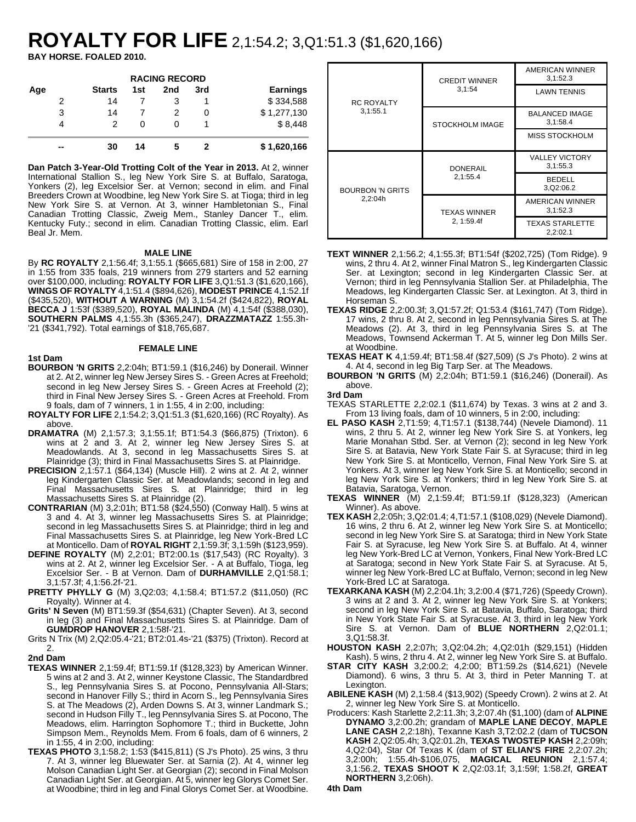# **ROYALTY FOR LIFE** 2,1:54.2; 3,Q1:51.3 (\$1,620,166)

**BAY HORSE. FOALED 2010.**

| <b>RACING RECORD</b> |               |                   |     |     |                 |  |  |
|----------------------|---------------|-------------------|-----|-----|-----------------|--|--|
| Age                  | <b>Starts</b> | 1st               | 2nd | 3rd | <b>Earnings</b> |  |  |
| 2                    | 14            |                   |     |     | \$334,588       |  |  |
| 3                    | 14            |                   |     | O   | \$1,277,130     |  |  |
| 4                    | 2             | $\mathbf{\Omega}$ |     |     | \$8,448         |  |  |
| --                   | 30            | 14                | 5   |     | \$1,620,166     |  |  |

**Dan Patch 3-Year-Old Trotting Colt of the Year in 2013.** At 2, winner International Stallion S., leg New York Sire S. at Buffalo, Saratoga, Yonkers (2), leg Excelsior Ser. at Vernon; second in elim. and Final Breeders Crown at Woodbine, leg New York Sire S. at Tioga; third in leg New York Sire S. at Vernon. At 3, winner Hambletonian S., Final Canadian Trotting Classic, Zweig Mem., Stanley Dancer T., elim. Kentucky Futy.; second in elim. Canadian Trotting Classic, elim. Earl Beal Jr. Mem.

#### **MALE LINE**

By **RC ROYALTY** 2,1:56.4f; 3,1:55.1 (\$665,681) Sire of 158 in 2:00, 27 in 1:55 from 335 foals, 219 winners from 279 starters and 52 earning over \$100,000, including: **ROYALTY FOR LIFE** 3,Q1:51.3 (\$1,620,166), **WINGS OF ROYALTY** 4,1:51.4 (\$894,626), **MODEST PRINCE** 4,1:52.1f (\$435,520), **WITHOUT A WARNING** (M) 3,1:54.2f (\$424,822), **ROYAL BECCA J** 1:53f (\$389,520), **ROYAL MALINDA** (M) 4,1:54f (\$388,030), **SOUTHERN PALMS** 4,1:55.3h (\$365,247), **DRAZZMATAZZ** 1:55.3h- '21 (\$341,792). Total earnings of \$18,765,687.

## **1st Dam**

### **FEMALE LINE**

- **BOURBON 'N GRITS** 2,2:04h; BT1:59.1 (\$16,246) by Donerail. Winner at 2. At 2, winner leg New Jersey Sires S. - Green Acres at Freehold; second in leg New Jersey Sires S. - Green Acres at Freehold (2); third in Final New Jersey Sires S. - Green Acres at Freehold. From 9 foals, dam of 7 winners, 1 in 1:55, 4 in 2:00, including:
- **ROYALTY FOR LIFE** 2,1:54.2; 3,Q1:51.3 (\$1,620,166) (RC Royalty). As above.
- **DRAMATRA** (M) 2,1:57.3; 3,1:55.1f; BT1:54.3 (\$66,875) (Trixton). 6 wins at 2 and 3. At 2, winner leg New Jersey Sires S. at Meadowlands. At 3, second in leg Massachusetts Sires S. at Plainridge (3); third in Final Massachusetts Sires S. at Plainridge.
- **PRECISION** 2,1:57.1 (\$64,134) (Muscle Hill). 2 wins at 2. At 2, winner leg Kindergarten Classic Ser. at Meadowlands; second in leg and Final Massachusetts Sires S. at Plainridge; third in leg Massachusetts Sires S. at Plainridge (2).
- **CONTRARIAN** (M) 3,2:01h; BT1:58 (\$24,550) (Conway Hall). 5 wins at 3 and 4. At 3, winner leg Massachusetts Sires S. at Plainridge; second in leg Massachusetts Sires S. at Plainridge; third in leg and Final Massachusetts Sires S. at Plainridge, leg New York-Bred LC at Monticello. Dam of **ROYAL RIGHT** 2,1:59.3f; 3,1:59h (\$123,959).
- **DEFINE ROYALTY** (M) 2,2:01; BT2:00.1s (\$17,543) (RC Royalty). 3 wins at 2. At 2, winner leg Excelsior Ser. - A at Buffalo, Tioga, leg Excelsior Ser. - B at Vernon. Dam of **DURHAMVILLE** 2,Q1:58.1; 3,1:57.3f; 4,1:56.2f-'21.
- **PRETTY PHYLLY G** (M) 3,Q2:03; 4,1:58.4; BT1:57.2 (\$11,050) (RC Royalty). Winner at 4.
- **Grits' N Seven** (M) BT1:59.3f (\$54,631) (Chapter Seven). At 3, second in leg (3) and Final Massachusetts Sires S. at Plainridge. Dam of **GUMDROP HANOVER** 2,1:58f-'21.

Grits N Trix (M) 2,Q2:05.4-'21; BT2:01.4s-'21 (\$375) (Trixton). Record at 2.

#### **2nd Dam**

- **TEXAS WINNER** 2,1:59.4f; BT1:59.1f (\$128,323) by American Winner. 5 wins at 2 and 3. At 2, winner Keystone Classic, The Standardbred S., leg Pennsylvania Sires S. at Pocono, Pennsylvania All-Stars; second in Hanover Filly S.; third in Acorn S., leg Pennsylvania Sires S. at The Meadows (2), Arden Downs S. At 3, winner Landmark S.; second in Hudson Filly T., leg Pennsylvania Sires S. at Pocono, The Meadows, elim. Harrington Sophomore T.; third in Buckette, John Simpson Mem., Reynolds Mem. From 6 foals, dam of 6 winners, 2 in 1:55, 4 in 2:00, including:
- **TEXAS PHOTO** 3,1:58.2; 1:53 (\$415,811) (S J's Photo). 25 wins, 3 thru 7. At 3, winner leg Bluewater Ser. at Sarnia (2). At 4, winner leg Molson Canadian Light Ser. at Georgian (2); second in Final Molson Canadian Light Ser. at Georgian. At 5, winner leg Glorys Comet Ser. at Woodbine; third in leg and Final Glorys Comet Ser. at Woodbine.

|                         | <b>CREDIT WINNER</b> | AMERICAN WINNER<br>3,1:52.3        |
|-------------------------|----------------------|------------------------------------|
| <b>RC ROYALTY</b>       | 3,1:54               | <b>LAWN TENNIS</b>                 |
| 3,1:55.1                | STOCKHOLM IMAGE      | <b>BALANCED IMAGE</b><br>3,1:58.4  |
|                         |                      | MISS STOCKHOLM                     |
|                         | <b>DONERAIL</b>      | <b>VALLEY VICTORY</b><br>3,1:55.3  |
| <b>BOURBON 'N GRITS</b> | 2,1:55.4             | <b>BEDELL</b><br>3, Q 2: 06. 2     |
| 2,2:04h                 | <b>TEXAS WINNER</b>  | AMERICAN WINNER<br>3,1:52.3        |
|                         | 2, 1:59.4f           | <b>TEXAS STARLETTE</b><br>2,2:02.1 |

- **TEXT WINNER** 2,1:56.2; 4,1:55.3f; BT1:54f (\$202,725) (Tom Ridge). 9 wins, 2 thru 4. At 2, winner Final Matron S., leg Kindergarten Classic Ser. at Lexington; second in leg Kindergarten Classic Ser. at Vernon; third in leg Pennsylvania Stallion Ser. at Philadelphia, The Meadows, leg Kindergarten Classic Ser. at Lexington. At 3, third in Horseman S.
- **TEXAS RIDGE** 2,2:00.3f; 3,Q1:57.2f; Q1:53.4 (\$161,747) (Tom Ridge). 17 wins, 2 thru 8. At 2, second in leg Pennsylvania Sires S. at The Meadows (2). At 3, third in leg Pennsylvania Sires S. at The Meadows, Townsend Ackerman T. At 5, winner leg Don Mills Ser. at Woodbine.
- **TEXAS HEAT K** 4,1:59.4f; BT1:58.4f (\$27,509) (S J's Photo). 2 wins at 4. At 4, second in leg Big Tarp Ser. at The Meadows.
- **BOURBON 'N GRITS** (M) 2,2:04h; BT1:59.1 (\$16,246) (Donerail). As above.

**3rd Dam**

- TEXAS STARLETTE 2,2:02.1 (\$11,674) by Texas. 3 wins at 2 and 3. From 13 living foals, dam of 10 winners, 5 in 2:00, including:
- **EL PASO KASH** 2,T1:59; 4,T1:57.1 (\$138,744) (Nevele Diamond). 11 wins, 2 thru 5. At 2, winner leg New York Sire S. at Yonkers, leg Marie Monahan Stbd. Ser. at Vernon (2); second in leg New York Sire S. at Batavia, New York State Fair S. at Syracuse; third in leg New York Sire S. at Monticello, Vernon, Final New York Sire S. at Yonkers. At 3, winner leg New York Sire S. at Monticello; second in leg New York Sire S. at Yonkers; third in leg New York Sire S. at Batavia, Saratoga, Vernon.
- **TEXAS WINNER** (M) 2,1:59.4f; BT1:59.1f (\$128,323) (American Winner). As above.
- **TEX KASH** 2,2:05h; 3,Q2:01.4; 4,T1:57.1 (\$108,029) (Nevele Diamond). 16 wins, 2 thru 6. At 2, winner leg New York Sire S. at Monticello; second in leg New York Sire S. at Saratoga; third in New York State Fair S. at Syracuse, leg New York Sire S. at Buffalo. At 4, winner leg New York-Bred LC at Vernon, Yonkers, Final New York-Bred LC at Saratoga; second in New York State Fair S. at Syracuse. At 5, winner leg New York-Bred LC at Buffalo, Vernon; second in leg New York-Bred LC at Saratoga.
- **TEXARKANA KASH** (M) 2,2:04.1h; 3,2:00.4 (\$71,726) (Speedy Crown). 3 wins at 2 and 3. At 2, winner leg New York Sire S. at Yonkers; second in leg New York Sire S. at Batavia, Buffalo, Saratoga; third in New York State Fair S. at Syracuse. At 3, third in leg New York Sire S. at Vernon. Dam of **BLUE NORTHERN** 2,Q2:01.1; 3,Q1:58.3f.
- **HOUSTON KASH** 2,2:07h; 3,Q2:04.2h; 4,Q2:01h (\$29,151) (Hidden Kash). 5 wins, 2 thru 4. At 2, winner leg New York Sire S. at Buffalo.
- **STAR CITY KASH** 3,2:00.2; 4,2:00; BT1:59.2s (\$14,621) (Nevele Diamond). 6 wins, 3 thru 5. At 3, third in Peter Manning T. at Lexington.
- **ABILENE KASH** (M) 2,1:58.4 (\$13,902) (Speedy Crown). 2 wins at 2. At 2, winner leg New York Sire S. at Monticello.
- Producers: Kash Starlette 2,2:11.3h; 3,2:07.4h (\$1,100) (dam of **ALPINE DYNAMO** 3,2:00.2h; grandam of **MAPLE LANE DECOY**, **MAPLE LANE CASH** 2,2:18h), Texanne Kash 3,T2:02.2 (dam of **TUCSON KASH** 2,Q2:05.4h; 3,Q2:01.2h, **TEXAS TWOSTEP KASH** 2,2:09h; 4,Q2:04), Star Of Texas K (dam of **ST ELIAN'S FIRE** 2,2:07.2h; 3,2:00h; 1:55.4h-\$106,075, **MAGICAL REUNION** 2,1:57.4; 3,1:56.2, **TEXAS SHOOT K** 2,Q2:03.1f; 3,1:59f; 1:58.2f, **GREAT NORTHERN** 3,2:06h).
- **4th Dam**